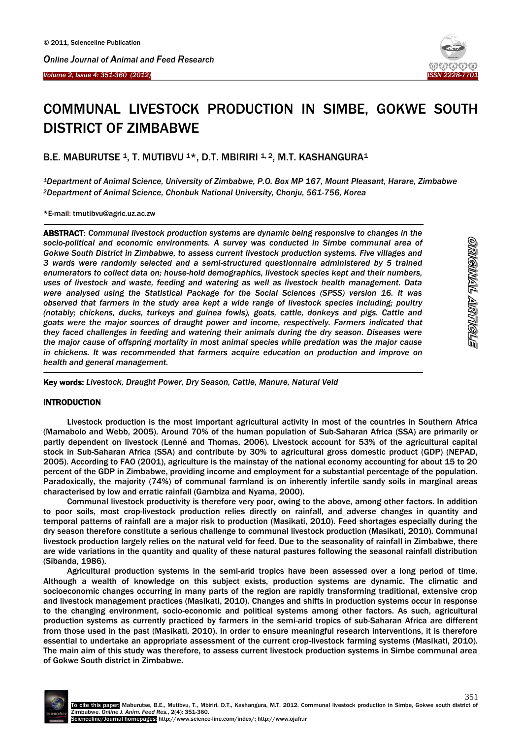



# COMMUNAL LIVESTOCK PRODUCTION IN SIMBE, GOKWE SOUTH DISTRICT OF ZIMBABWE

B.E. MABURUTSE <sup>1</sup>, T. MUTIBVU <sup>1\*</sup>, D.T. MBIRIRI <sup>1, 2</sup>, M.T. KASHANGURA<sup>1</sup>

*<sup>1</sup>Department of Animal Science, University of Zimbabwe, P.O. Box MP 167, Mount Pleasant, Harare, Zimbabwe <sup>2</sup>Department of Animal Science, Chonbuk National University, Chonju, 561-756, Korea* 

\*E-mail: tmutibvu@agric.uz.ac.zw

 $\overline{\phantom{a}}$ 

-

ABSTRACT: *Communal livestock production systems are dynamic being responsive to changes in the socio-political and economic environments. A survey was conducted in Simbe communal area of Gokwe South District in Zimbabwe, to assess current livestock production systems. Five villages and 3 wards were randomly selected and a semi-structured questionnaire administered by 5 trained enumerators to collect data on; house-hold demographics, livestock species kept and their numbers, uses of livestock and waste, feeding and watering as well as livestock health management. Data were analysed using the Statistical Package for the Social Sciences (SPSS) version 16. It was observed that farmers in the study area kept a wide range of livestock species including; poultry (notably; chickens, ducks, turkeys and guinea fowls), goats, cattle, donkeys and pigs. Cattle and goats were the major sources of draught power and income, respectively. Farmers indicated that they faced challenges in feeding and watering their animals during the dry season. Diseases were the major cause of offspring mortality in most animal species while predation was the major cause in chickens. It was recommended that farmers acquire education on production and improve on health and general management.*

<u>ornginnall arrtholis</u>

Key words: *Livestock, Draught Power, Dry Season, Cattle, Manure, Natural Veld*

# INTRODUCTION

Livestock production is the most important agricultural activity in most of the countries in Southern Africa (Mamabolo and Webb, 2005). Around 70% of the human population of Sub-Saharan Africa (SSA) are primarily or partly dependent on livestock (Lenné and Thomas, 2006). Livestock account for 53% of the agricultural capital stock in Sub-Saharan Africa (SSA) and contribute by 30% to agricultural gross domestic product (GDP) (NEPAD, 2005). According to FAO (2001), agriculture is the mainstay of the national economy accounting for about 15 to 20 percent of the GDP in Zimbabwe, providing income and employment for a substantial percentage of the population. Paradoxically, the majority (74%) of communal farmland is on inherently infertile sandy soils in marginal areas characterised by low and erratic rainfall (Gambiza and Nyama, 2000).

Communal livestock productivity is therefore very poor, owing to the above, among other factors. In addition to poor soils, most crop-livestock production relies directly on rainfall, and adverse changes in quantity and temporal patterns of rainfall are a major risk to production (Masikati, 2010). Feed shortages especially during the dry season therefore constitute a serious challenge to communal livestock production (Masikati, 2010). Communal livestock production largely relies on the natural veld for feed. Due to the seasonality of rainfall in Zimbabwe, there are wide variations in the quantity and quality of these natural pastures following the seasonal rainfall distribution (Sibanda, 1986).

Agricultural production systems in the semi-arid tropics have been assessed over a long period of time. Although a wealth of knowledge on this subject exists, production systems are dynamic. The climatic and socioeconomic changes occurring in many parts of the region are rapidly transforming traditional, extensive crop and livestock management practices (Masikati, 2010). Changes and shifts in production systems occur in response to the changing environment, socio-economic and political systems among other factors. As such, agricultural production systems as currently practiced by farmers in the semi-arid tropics of sub-Saharan Africa are different from those used in the past (Masikati, 2010). In order to ensure meaningful research interventions, it is therefore essential to undertake an appropriate assessment of the current crop-livestock farming systems (Masikati, 2010). The main aim of this study was therefore, to assess current livestock production systems in Simbe communal area of Gokwe South district in Zimbabwe.

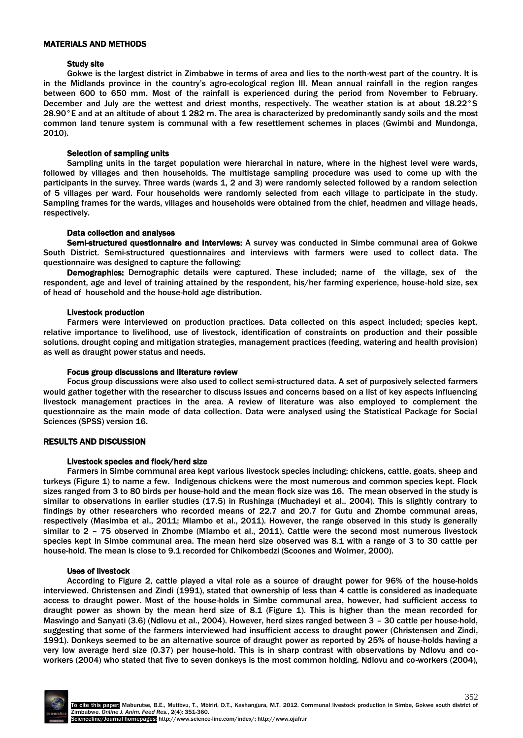## MATERIALS AND METHODS

## Study site

Gokwe is the largest district in Zimbabwe in terms of area and lies to the north-west part of the country. It is in the Midlands province in the country's agro-ecological region III. Mean annual rainfall in the region ranges between 600 to 650 mm. Most of the rainfall is experienced during the period from November to February. December and July are the wettest and driest months, respectively. The weather station is at about 18.22°S 28.90°E and at an altitude of about 1 282 m. The area is characterized by predominantly sandy soils and the most common land tenure system is communal with a few resettlement schemes in places (Gwimbi and Mundonga, 2010).

# Selection of sampling units

Sampling units in the target population were hierarchal in nature, where in the highest level were wards, followed by villages and then households. The multistage sampling procedure was used to come up with the participants in the survey. Three wards (wards 1, 2 and 3) were randomly selected followed by a random selection of 5 villages per ward. Four households were randomly selected from each village to participate in the study. Sampling frames for the wards, villages and households were obtained from the chief, headmen and village heads, respectively.

# Data collection and analyses

Semi-structured questionnaire and interviews: A survey was conducted in Simbe communal area of Gokwe South District. Semi-structured questionnaires and interviews with farmers were used to collect data. The questionnaire was designed to capture the following;

Demographics: Demographic details were captured. These included; name of the village, sex of the respondent, age and level of training attained by the respondent, his/her farming experience, house-hold size, sex of head of household and the house-hold age distribution.

## Livestock production

Farmers were interviewed on production practices. Data collected on this aspect included; species kept, relative importance to livelihood, use of livestock, identification of constraints on production and their possible solutions, drought coping and mitigation strategies, management practices (feeding, watering and health provision) as well as draught power status and needs.

## Focus group discussions and literature review

Focus group discussions were also used to collect semi-structured data. A set of purposively selected farmers would gather together with the researcher to discuss issues and concerns based on a list of key aspects influencing livestock management practices in the area. A review of literature was also employed to complement the questionnaire as the main mode of data collection. Data were analysed using the Statistical Package for Social Sciences (SPSS) version 16.

# RESULTS AND DISCUSSION

## Livestock species and flock/herd size

Farmers in Simbe communal area kept various livestock species including; chickens, cattle, goats, sheep and turkeys (Figure 1) to name a few. Indigenous chickens were the most numerous and common species kept. Flock sizes ranged from 3 to 80 birds per house-hold and the mean flock size was 16. The mean observed in the study is similar to observations in earlier studies (17.5) in Rushinga (Muchadeyi et al., 2004). This is slightly contrary to findings by other researchers who recorded means of 22.7 and 20.7 for Gutu and Zhombe communal areas, respectively (Masimba et al., 2011; Mlambo et al., 2011). However, the range observed in this study is generally similar to 2 – 75 observed in Zhombe (Mlambo et al., 2011). Cattle were the second most numerous livestock species kept in Simbe communal area. The mean herd size observed was 8.1 with a range of 3 to 30 cattle per house-hold. The mean is close to 9.1 recorded for Chikombedzi (Scoones and Wolmer, 2000).

## Uses of livestock

According to Figure 2, cattle played a vital role as a source of draught power for 96% of the house-holds interviewed. Christensen and Zindi (1991), stated that ownership of less than 4 cattle is considered as inadequate access to draught power. Most of the house-holds in Simbe communal area, however, had sufficient access to draught power as shown by the mean herd size of 8.1 (Figure 1). This is higher than the mean recorded for Masvingo and Sanyati (3.6) (Ndlovu et al., 2004). However, herd sizes ranged between 3 – 30 cattle per house-hold, suggesting that some of the farmers interviewed had insufficient access to draught power (Christensen and Zindi, 1991). Donkeys seemed to be an alternative source of draught power as reported by 25% of house-holds having a very low average herd size (0.37) per house-hold. This is in sharp contrast with observations by Ndlovu and coworkers (2004) who stated that five to seven donkeys is the most common holding. Ndlovu and co-workers (2004),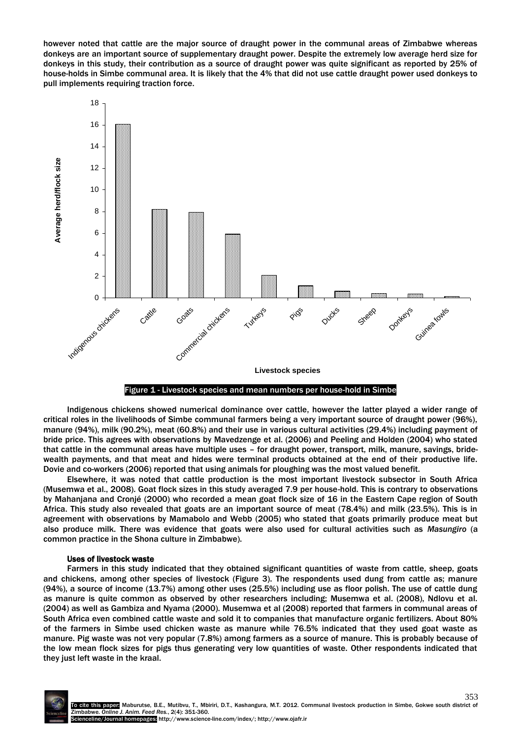however noted that cattle are the major source of draught power in the communal areas of Zimbabwe whereas donkeys are an important source of supplementary draught power. Despite the extremely low average herd size for donkeys in this study, their contribution as a source of draught power was quite significant as reported by 25% of house-holds in Simbe communal area. It is likely that the 4% that did not use cattle draught power used donkeys to pull implements requiring traction force.





Indigenous chickens showed numerical dominance over cattle, however the latter played a wider range of critical roles in the livelihoods of Simbe communal farmers being a very important source of draught power (96%), manure (94%), milk (90.2%), meat (60.8%) and their use in various cultural activities (29.4%) including payment of bride price. This agrees with observations by Mavedzenge et al. (2006) and Peeling and Holden (2004) who stated that cattle in the communal areas have multiple uses – for draught power, transport, milk, manure, savings, bridewealth payments, and that meat and hides were terminal products obtained at the end of their productive life. Dovie and co-workers (2006) reported that using animals for ploughing was the most valued benefit.

Elsewhere, it was noted that cattle production is the most important livestock subsector in South Africa (Musemwa et al., 2008). Goat flock sizes in this study averaged 7.9 per house-hold. This is contrary to observations by Mahanjana and Cronjé (2000) who recorded a mean goat flock size of 16 in the Eastern Cape region of South Africa. This study also revealed that goats are an important source of meat (78.4%) and milk (23.5%). This is in agreement with observations by Mamabolo and Webb (2005) who stated that goats primarily produce meat but also produce milk. There was evidence that goats were also used for cultural activities such as *Masungiro* (a common practice in the Shona culture in Zimbabwe).

## Uses of livestock waste

Farmers in this study indicated that they obtained significant quantities of waste from cattle, sheep, goats and chickens, among other species of livestock (Figure 3). The respondents used dung from cattle as; manure (94%), a source of income (13.7%) among other uses (25.5%) including use as floor polish. The use of cattle dung as manure is quite common as observed by other researchers including; Musemwa et al. (2008), Ndlovu et al. (2004) as well as Gambiza and Nyama (2000). Musemwa et al (2008) reported that farmers in communal areas of South Africa even combined cattle waste and sold it to companies that manufacture organic fertilizers. About 80% of the farmers in Simbe used chicken waste as manure while 76.5% indicated that they used goat waste as manure. Pig waste was not very popular (7.8%) among farmers as a source of manure. This is probably because of the low mean flock sizes for pigs thus generating very low quantities of waste. Other respondents indicated that they just left waste in the kraal.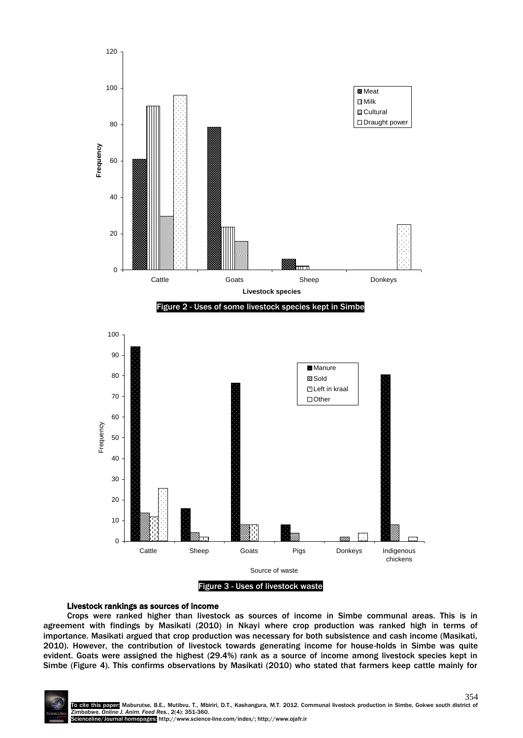

## Livestock rankings as sources of income

Crops were ranked higher than livestock as sources of income in Simbe communal areas. This is in agreement with findings by Masikati (2010) in Nkayi where crop production was ranked high in terms of importance. Masikati argued that crop production was necessary for both subsistence and cash income (Masikati, 2010). However, the contribution of livestock towards generating income for house-holds in Simbe was quite evident. Goats were assigned the highest (29.4%) rank as a source of income among livestock species kept in Simbe (Figure 4). This confirms observations by Masikati (2010) who stated that farmers keep cattle mainly for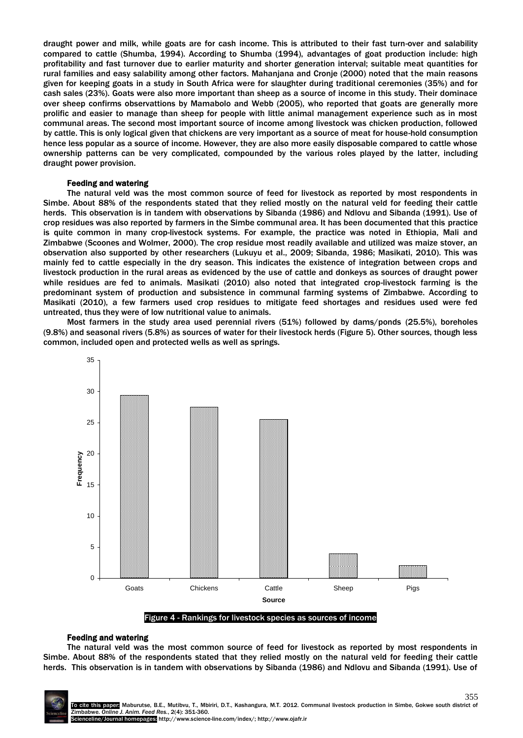draught power and milk, while goats are for cash income. This is attributed to their fast turn-over and salability compared to cattle (Shumba, 1994). According to Shumba (1994), advantages of goat production include: high profitability and fast turnover due to earlier maturity and shorter generation interval; suitable meat quantities for rural families and easy salability among other factors. Mahanjana and Cronje (2000) noted that the main reasons given for keeping goats in a study in South Africa were for slaughter during traditional ceremonies (35%) and for cash sales (23%). Goats were also more important than sheep as a source of income in this study. Their dominace over sheep confirms observattions by Mamabolo and Webb (2005), who reported that goats are generally more prolific and easier to manage than sheep for people with little animal management experience such as in most communal areas. The second most important source of income among livestock was chicken production, followed by cattle. This is only logical given that chickens are very important as a source of meat for house-hold consumption hence less popular as a source of income. However, they are also more easily disposable compared to cattle whose ownership patterns can be very complicated, compounded by the various roles played by the latter, including draught power provision.

#### Feeding and watering

The natural veld was the most common source of feed for livestock as reported by most respondents in Simbe. About 88% of the respondents stated that they relied mostly on the natural veld for feeding their cattle herds. This observation is in tandem with observations by Sibanda (1986) and Ndlovu and Sibanda (1991). Use of crop residues was also reported by farmers in the Simbe communal area. It has been documented that this practice is quite common in many crop-livestock systems. For example, the practice was noted in Ethiopia, Mali and Zimbabwe (Scoones and Wolmer, 2000). The crop residue most readily available and utilized was maize stover, an observation also supported by other researchers (Lukuyu et al., 2009; Sibanda, 1986; Masikati, 2010). This was mainly fed to cattle especially in the dry season. This indicates the existence of integration between crops and livestock production in the rural areas as evidenced by the use of cattle and donkeys as sources of draught power while residues are fed to animals. Masikati (2010) also noted that integrated crop-livestock farming is the predominant system of production and subsistence in communal farming systems of Zimbabwe. According to Masikati (2010), a few farmers used crop residues to mitigate feed shortages and residues used were fed untreated, thus they were of low nutritional value to animals.

Most farmers in the study area used perennial rivers (51%) followed by dams/ponds (25.5%), boreholes (9.8%) and seasonal rivers (5.8%) as sources of water for their livestock herds (Figure 5). Other sources, though less common, included open and protected wells as well as springs.



#### Figure 4 - Rankings for livestock species as sources of income

#### Feeding and watering

The natural veld was the most common source of feed for livestock as reported by most respondents in Simbe. About 88% of the respondents stated that they relied mostly on the natural veld for feeding their cattle herds. This observation is in tandem with observations by Sibanda (1986) and Ndlovu and Sibanda (1991). Use of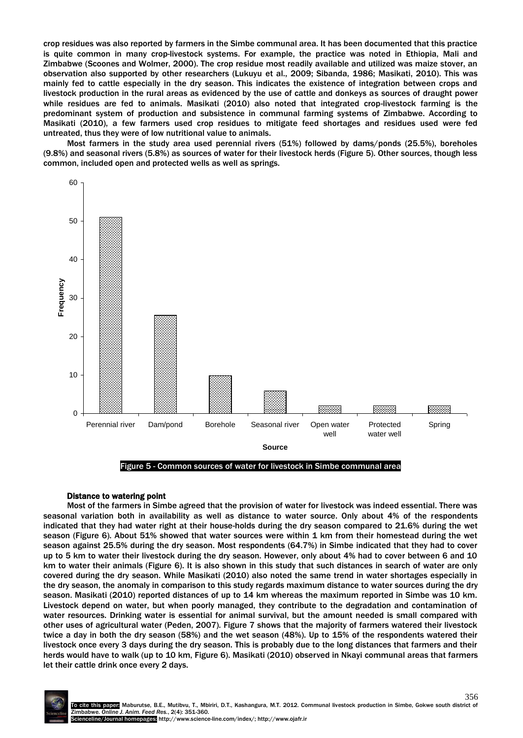crop residues was also reported by farmers in the Simbe communal area. It has been documented that this practice is quite common in many crop-livestock systems. For example, the practice was noted in Ethiopia, Mali and Zimbabwe (Scoones and Wolmer, 2000). The crop residue most readily available and utilized was maize stover, an observation also supported by other researchers (Lukuyu et al., 2009; Sibanda, 1986; Masikati, 2010). This was mainly fed to cattle especially in the dry season. This indicates the existence of integration between crops and livestock production in the rural areas as evidenced by the use of cattle and donkeys as sources of draught power while residues are fed to animals. Masikati (2010) also noted that integrated crop-livestock farming is the predominant system of production and subsistence in communal farming systems of Zimbabwe. According to Masikati (2010), a few farmers used crop residues to mitigate feed shortages and residues used were fed untreated, thus they were of low nutritional value to animals.

Most farmers in the study area used perennial rivers (51%) followed by dams/ponds (25.5%), boreholes (9.8%) and seasonal rivers (5.8%) as sources of water for their livestock herds (Figure 5). Other sources, though less common, included open and protected wells as well as springs.



Figure 5 - Common sources of water for livestock in Simbe communal area

# Distance to watering point

Most of the farmers in Simbe agreed that the provision of water for livestock was indeed essential. There was seasonal variation both in availability as well as distance to water source. Only about 4% of the respondents indicated that they had water right at their house-holds during the dry season compared to 21.6% during the wet season (Figure 6). About 51% showed that water sources were within 1 km from their homestead during the wet season against 25.5% during the dry season. Most respondents (64.7%) in Simbe indicated that they had to cover up to 5 km to water their livestock during the dry season. However, only about 4% had to cover between 6 and 10 km to water their animals (Figure 6). It is also shown in this study that such distances in search of water are only covered during the dry season. While Masikati (2010) also noted the same trend in water shortages especially in the dry season, the anomaly in comparison to this study regards maximum distance to water sources during the dry season. Masikati (2010) reported distances of up to 14 km whereas the maximum reported in Simbe was 10 km. Livestock depend on water, but when poorly managed, they contribute to the degradation and contamination of water resources. Drinking water is essential for animal survival, but the amount needed is small compared with other uses of agricultural water (Peden, 2007). Figure 7 shows that the majority of farmers watered their livestock twice a day in both the dry season (58%) and the wet season (48%). Up to 15% of the respondents watered their livestock once every 3 days during the dry season. This is probably due to the long distances that farmers and their herds would have to walk (up to 10 km, Figure 6). Masikati (2010) observed in Nkayi communal areas that farmers let their cattle drink once every 2 days.

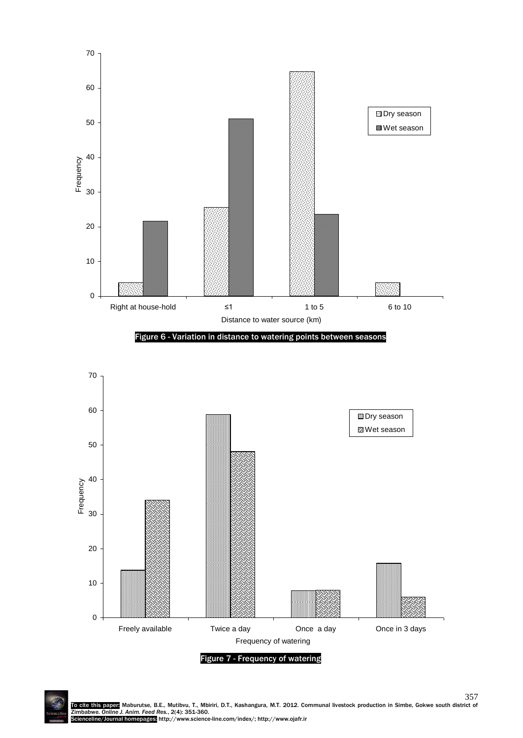

Figure 7 - Frequency of watering

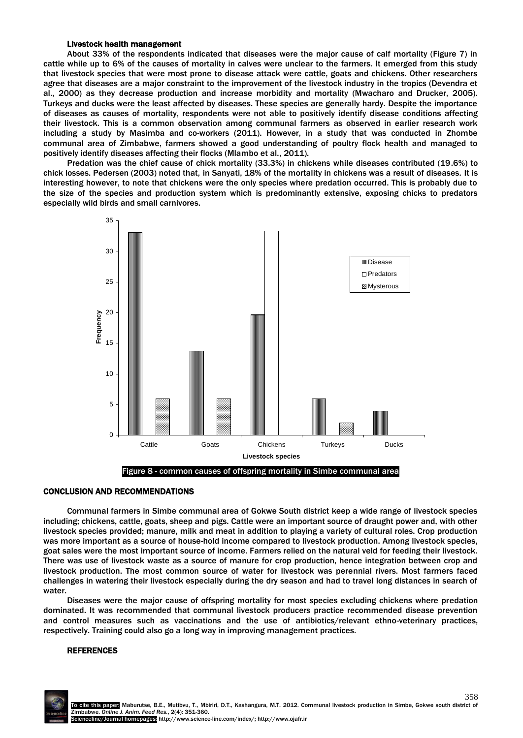#### Livestock health management

About 33% of the respondents indicated that diseases were the major cause of calf mortality (Figure 7) in cattle while up to 6% of the causes of mortality in calves were unclear to the farmers. It emerged from this study that livestock species that were most prone to disease attack were cattle, goats and chickens. Other researchers agree that diseases are a major constraint to the improvement of the livestock industry in the tropics (Devendra et al., 2000) as they decrease production and increase morbidity and mortality (Mwacharo and Drucker, 2005). Turkeys and ducks were the least affected by diseases. These species are generally hardy. Despite the importance of diseases as causes of mortality, respondents were not able to positively identify disease conditions affecting their livestock. This is a common observation among communal farmers as observed in earlier research work including a study by Masimba and co-workers (2011). However, in a study that was conducted in Zhombe communal area of Zimbabwe, farmers showed a good understanding of poultry flock health and managed to positively identify diseases affecting their flocks (Mlambo et al., 2011).

Predation was the chief cause of chick mortality (33.3%) in chickens while diseases contributed (19.6%) to chick losses. Pedersen (2003) noted that, in Sanyati, 18% of the mortality in chickens was a result of diseases. It is interesting however, to note that chickens were the only species where predation occurred. This is probably due to the size of the species and production system which is predominantly extensive, exposing chicks to predators especially wild birds and small carnivores.

![](_page_7_Figure_3.jpeg)

#### CONCLUSION AND RECOMMENDATIONS

Communal farmers in Simbe communal area of Gokwe South district keep a wide range of livestock species including; chickens, cattle, goats, sheep and pigs. Cattle were an important source of draught power and, with other livestock species provided; manure, milk and meat in addition to playing a variety of cultural roles. Crop production was more important as a source of house-hold income compared to livestock production. Among livestock species, goat sales were the most important source of income. Farmers relied on the natural veld for feeding their livestock. There was use of livestock waste as a source of manure for crop production, hence integration between crop and livestock production. The most common source of water for livestock was perennial rivers. Most farmers faced challenges in watering their livestock especially during the dry season and had to travel long distances in search of water.

Diseases were the major cause of offspring mortality for most species excluding chickens where predation dominated. It was recommended that communal livestock producers practice recommended disease prevention and control measures such as vaccinations and the use of antibiotics/relevant ethno-veterinary practices, respectively. Training could also go a long way in improving management practices.

## **REFERENCES**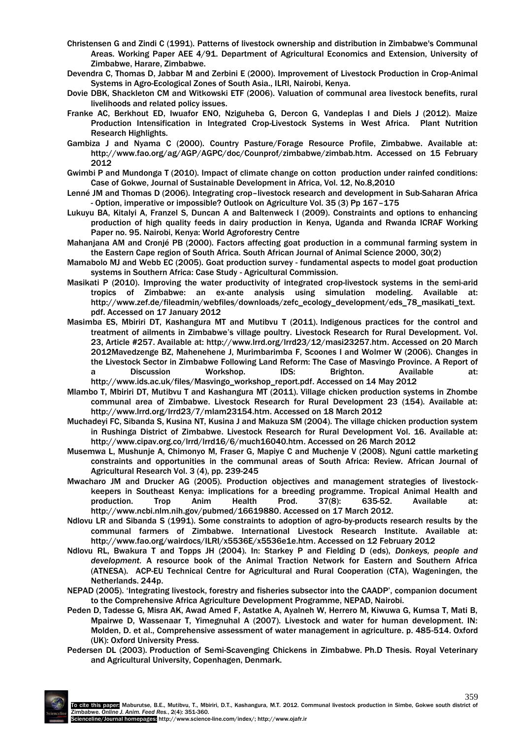- Christensen G and Zindi C (1991). Patterns of livestock ownership and distribution in Zimbabwe's Communal Areas. Working Paper AEE 4/91. Department of Agricultural Economics and Extension, University of Zimbabwe, Harare, Zimbabwe.
- Devendra C, Thomas D, Jabbar M and Zerbini E (2000). Improvement of Livestock Production in Crop-Animal Systems in Agro-Ecological Zones of South Asia., ILRI, Nairobi, Kenya.
- Dovie DBK, Shackleton CM and Witkowski ETF (2006). Valuation of communal area livestock benefits, rural livelihoods and related policy issues.
- Franke AC, Berkhout ED, Iwuafor ENO, Nziguheba G, Dercon G, Vandeplas I and Diels J (2012). Maize Production Intensification in Integrated Crop-Livestock Systems in West Africa. Plant Nutrition Research Highlights.
- Gambiza J and Nyama C (2000). Country Pasture/Forage Resource Profile, Zimbabwe. Available at: http://www.fao.org/ag/AGP/AGPC/doc/Counprof/zimbabwe/zimbab.htm. Accessed on 15 February 2012
- Gwimbi P and Mundonga T (2010). Impact of climate change on cotton production under rainfed conditions: Case of Gokwe, Journal of Sustainable Development in Africa, Vol. 12, No.8,2010
- Lenné JM and Thomas D (2006). Integrating crop–livestock research and development in Sub-Saharan Africa - Option, imperative or impossible? Outlook on Agriculture Vol. 35 (3) Pp 167–175
- Lukuyu BA, Kitalyi A, Franzel S, Duncan A and Baltenweck I (2009). Constraints and options to enhancing production of high quality feeds in dairy production in Kenya, Uganda and Rwanda ICRAF Working Paper no. 95. Nairobi, Kenya: World Agroforestry Centre
- Mahanjana AM and Cronjé PB (2000). Factors affecting goat production in a communal farming system in the Eastern Cape region of South Africa. South African Journal of Animal Science 2000, 30(2)
- Mamabolo MJ and Webb EC (2005). Goat production survey fundamental aspects to model goat production systems in Southern Africa: Case Study - Agricultural Commission.
- Masikati P (2010). Improving the water productivity of integrated crop-livestock systems in the semi-arid tropics of Zimbabwe: an ex-ante analysis using simulation modeling. Available at: http://www.zef.de/fileadmin/webfiles/downloads/zefc\_ecology\_development/eds\_78\_masikati\_text. pdf. Accessed on 17 January 2012
- Masimba ES, Mbiriri DT, Kashangura MT and Mutibvu T (2011). Indigenous practices for the control and treatment of ailments in Zimbabwe's village poultry. Livestock Research for Rural Development. Vol. 23, Article #257. Available at: http://www.lrrd.org/lrrd23/12/masi23257.htm. Accessed on 20 March 2012Mavedzenge BZ, Mahenehene J, Murimbarimba F, Scoones I and Wolmer W (2006). Changes in the Livestock Sector in Zimbabwe Following Land Reform: The Case of Masvingo Province. A Report of a Discussion Workshop. IDS: Brighton. Available at: http://www.ids.ac.uk/files/Masvingo\_workshop\_report.pdf. Accessed on 14 May 2012
- Mlambo T, Mbiriri DT, Mutibvu T and Kashangura MT (2011). Village chicken production systems in Zhombe communal area of Zimbabwe. Livestock Research for Rural Development 23 (154). Available at: http://www.lrrd.org/lrrd23/7/mlam23154.htm. Accessed on 18 March 2012
- Muchadeyi FC, Sibanda S, Kusina NT, Kusina J and Makuza SM (2004). The village chicken production system in Rushinga District of Zimbabwe. Livestock Research for Rural Development Vol. 16. Available at: http://www.cipav.org.co/lrrd/lrrd16/6/much16040.htm. Accessed on 26 March 2012
- Musemwa L, Mushunje A, Chimonyo M, Fraser G, Mapiye C and Muchenje V (2008). Nguni cattle marketing constraints and opportunities in the communal areas of South Africa: Review. African Journal of Agricultural Research Vol. 3 (4), pp. 239-245
- Mwacharo JM and Drucker AG (2005). Production objectives and management strategies of livestockkeepers in Southeast Kenya: implications for a breeding programme. Tropical Animal Health and production. Trop Anim Health Prod. 37(8): 635-52. Available at: http://www.ncbi.nlm.nih.gov/pubmed/16619880. Accessed on 17 March 2012.
- Ndlovu LR and Sibanda S (1991). Some constraints to adoption of agro-by-products research results by the communal farmers of Zimbabwe. International Livestock Research Institute. Available at: http://www.fao.org/wairdocs/ILRI/x5536E/x5536e1e.htm. Accessed on 12 February 2012
- Ndlovu RL, Bwakura T and Topps JH (2004). In: Starkey P and Fielding D (eds), *Donkeys, people and development.* A resource book of the Animal Traction Network for Eastern and Southern Africa (ATNESA). ACP-EU Technical Centre for Agricultural and Rural Cooperation (CTA), Wageningen, the Netherlands. 244p.
- NEPAD (2005). 'Integrating livestock, forestry and fisheries subsector into the CAADP', companion document to the Comprehensive Africa Agriculture Development Programme, NEPAD, Nairobi.
- Peden D, Tadesse G, Misra AK, Awad Amed F, Astatke A, Ayalneh W, Herrero M, Kiwuwa G, Kumsa T, Mati B, Mpairwe D, Wassenaar T, Yimegnuhal A (2007). Livestock and water for human development. IN: Molden, D. et al., Comprehensive assessment of water management in agriculture. p. 485-514. Oxford (UK): Oxford University Press.
- Pedersen DL (2003). Production of Semi-Scavenging Chickens in Zimbabwe*.* Ph.D Thesis. Royal Veterinary and Agricultural University, Copenhagen, Denmark.

![](_page_8_Picture_21.jpeg)